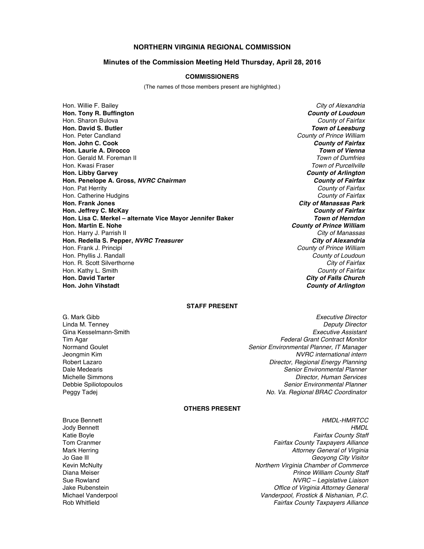# **NORTHERN VIRGINIA REGIONAL COMMISSION**

#### **Minutes of the Commission Meeting Held Thursday, April 28, 2016**

#### **COMMISSIONERS**

(The names of those members present are highlighted.)

Hon. Willie F. Bailey *City of Alexandria* **Hon. Tony R. Buffington** *County of Loudoun* Hon. Sharon Bulova *County of Fairfax* **Hon. David S. Butler** *Town of Leesburg* Hon. Peter Candland *County of Prince William* **Hon. John C. Cook** *County of Fairfax* **Hon. Laurie A. Dirocco** Hon. Gerald M. Foreman II *Town of Dumfries* Hon. Kwasi Fraser *Town of Purcellville* **Hon. Libby Garvey** *County of Arlington* **Hon. Penelope A. Gross,** *NVRC Chairman County of Fairfax* Hon. Pat Herrity *County of Fairfax* Hon. Catherine Hudgins *County of Fairfax* **Hon. Frank Jones** *City of Manassas Park* **Hon. Jeffrey C. McKay** *County of Fairfax* **Hon. Lisa C. Merkel – alternate Vice Mayor Jennifer Baker Hon. Martin E. Nohe** *County of Prince William* Hon. Harry J. Parrish II *City of Manassas* **Hon. Redella S. Pepper,** *NVRC Treasurer* Hon. Frank J. Principi *County of Prince William* Hon. Phyllis J. Randall *County of Loudoun* Hon. R. Scott Silverthorne *City of Fairfax* Hon. Kathy L. Smith *County of Fairfax* **Hon. David Tarter** *City of Falls Church*

**County of Arlington** 

### **STAFF PRESENT**

- Gina Kesselmann-Smith
- G. Mark Gibb *Executive Director* Linda M. Tenney *Deputy Director* Tim Agar *Federal Grant Contract Monitor* Normand Goulet *Senior Environmental Planner, IT Manager*  $NVRC$  international intern Robert Lazaro *Director, Regional Energy Planning* Dale Medearis *Senior Environmental Planner* Michelle Simmons *Director, Human Services* **Senior Environmental Planner** Peggy Tadej *No. Va. Regional BRAC Coordinator*

## **OTHERS PRESENT**

- 
- Bruce Bennett *HMDL-HMRTCC* Jody Bennett *HMDL* Katie Boyle *Fairfax County Staff* Tom Cranmer *Fairfax County Taxpayers Alliance* Mark Herring *Attorney General of Virginia* Jo Gae Ill *Geoyong City Visitor* Kevin McNulty *Northern Virginia Chamber of Commerce* Diana Meiser *Prince William County Staff* Sue Rowland *NVRC – Legislative Liaison* Jake Rubenstein *Office of Virginia Attorney General* Michael Vanderpool *Vanderpool, Frostick & Nishanian, P.C.* Rob Whitfield *Fairfax County Taxpayers Alliance*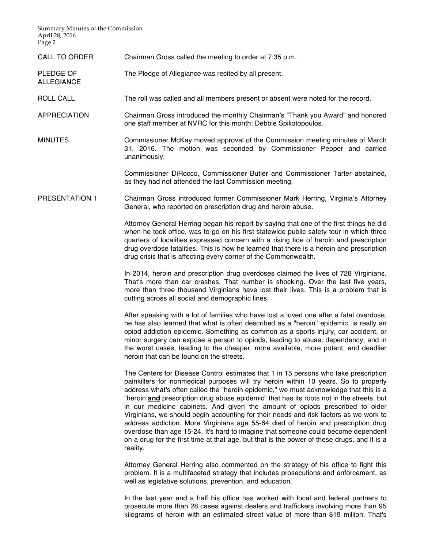Summary Minutes of the Commission April 28, 2016 Page 2

ALLEGIANCE

- CALL TO ORDER Chairman Gross called the meeting to order at 7:35 p.m.
- PLEDGE OF The Pledge of Allegiance was recited by all present.
- ROLL CALL The roll was called and all members present or absent were noted for the record.
- APPRECIATION Chairman Gross introduced the monthly Chairman's "Thank you Award" and honored one staff member at NVRC for this month: Debbie Spiliotopoulos.
- MINUTES Commissioner McKay moved approval of the Commission meeting minutes of March 31, 2016. The motion was seconded by Commissioner Pepper and carried unanimously.

Commissioner DiRocco, Commissioner Butler and Commissioner Tarter abstained, as they had not attended the last Commission meeting.

PRESENTATION 1 Chairman Gross introduced former Commissioner Mark Herring, Virginia's Attorney General, who reported on prescription drug and heroin abuse.

> Attorney General Herring began his report by saying that one of the first things he did when he took office, was to go on his first statewide public safety tour in which three quarters of localities expressed concern with a rising tide of heroin and prescription drug overdose fatalities. This is how he learned that there is a heroin and prescription drug crisis that is affecting every corner of the Commonwealth.

> In 2014, heroin and prescription drug overdoses claimed the lives of 728 Virginians. That's more than car crashes. That number is shocking. Over the last five years, more than three thousand Virginians have lost their lives. This is a problem that is cutting across all social and demographic lines.

> After speaking with a lot of families who have lost a loved one after a fatal overdose, he has also learned that what is often described as a "heroin" epidemic, is really an opiod addiction epidemic. Something as common as a sports injury, car accident, or minor surgery can expose a person to opiods, leading to abuse, dependency, and in the worst cases, leading to the cheaper, more available, more potent, and deadlier heroin that can be found on the streets.

> The Centers for Disease Control estimates that 1 in 15 persons who take prescription painkillers for nonmedical purposes will try heroin within 10 years. So to properly address what's often called the "heroin epidemic," we must acknowledge that this is a "heroin **and** prescription drug abuse epidemic" that has its roots not in the streets, but in our medicine cabinets. And given the amount of opiods prescribed to older Virginians, we should begin accounting for their needs and risk factors as we work to address addiction. More Virginians age 55-64 died of heroin and prescription drug overdose than age 15-24. It's hard to imagine that someone could become dependent on a drug for the first time at that age, but that is the power of these drugs, and it is a reality.

> Attorney General Herring also commented on the strategy of his office to fight this problem. It is a multifaceted strategy that includes prosecutions and enforcement, as well as legislative solutions, prevention, and education.

> In the last year and a half his office has worked with local and federal partners to prosecute more than 28 cases against dealers and traffickers involving more than 95 kilograms of heroin with an estimated street value of more than \$19 million. That's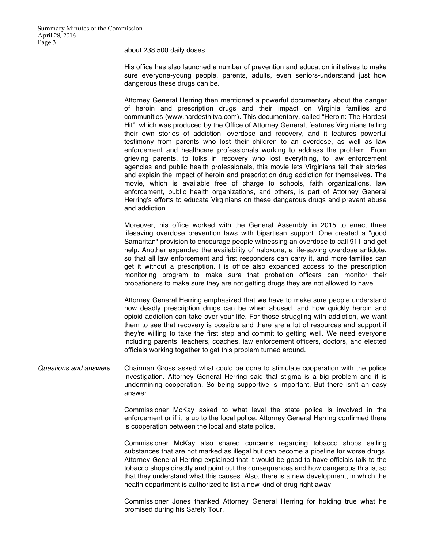about 238,500 daily doses.

His office has also launched a number of prevention and education initiatives to make sure everyone-young people, parents, adults, even seniors-understand just how dangerous these drugs can be.

Attorney General Herring then mentioned a powerful documentary about the danger of heroin and prescription drugs and their impact on Virginia families and communities (www.hardesthitva.com). This documentary, called "Heroin: The Hardest Hit", which was produced by the Office of Attorney General, features Virginians telling their own stories of addiction, overdose and recovery, and it features powerful testimony from parents who lost their children to an overdose, as well as law enforcement and healthcare professionals working to address the problem. From grieving parents, to folks in recovery who lost everything, to law enforcement agencies and public health professionals, this movie lets Virginians tell their stories and explain the impact of heroin and prescription drug addiction for themselves. The movie, which is available free of charge to schools, faith organizations, law enforcement, public health organizations, and others, is part of Attorney General Herring's efforts to educate Virginians on these dangerous drugs and prevent abuse and addiction.

Moreover, his office worked with the General Assembly in 2015 to enact three lifesaving overdose prevention laws with bipartisan support. One created a "good Samaritan" provision to encourage people witnessing an overdose to call 911 and get help. Another expanded the availability of naloxone, a life-saving overdose antidote, so that all law enforcement and first responders can carry it, and more families can get it without a prescription. His office also expanded access to the prescription monitoring program to make sure that probation officers can monitor their probationers to make sure they are not getting drugs they are not allowed to have.

Attorney General Herring emphasized that we have to make sure people understand how deadly prescription drugs can be when abused, and how quickly heroin and opioid addiction can take over your life. For those struggling with addiction, we want them to see that recovery is possible and there are a lot of resources and support if they're willing to take the first step and commit to getting well. We need everyone including parents, teachers, coaches, law enforcement officers, doctors, and elected officials working together to get this problem turned around.

*Questions and answers* Chairman Gross asked what could be done to stimulate cooperation with the police investigation. Attorney General Herring said that stigma is a big problem and it is undermining cooperation. So being supportive is important. But there isn't an easy answer.

> Commissioner McKay asked to what level the state police is involved in the enforcement or if it is up to the local police. Attorney General Herring confirmed there is cooperation between the local and state police.

> Commissioner McKay also shared concerns regarding tobacco shops selling substances that are not marked as illegal but can become a pipeline for worse drugs. Attorney General Herring explained that it would be good to have officials talk to the tobacco shops directly and point out the consequences and how dangerous this is, so that they understand what this causes. Also, there is a new development, in which the health department is authorized to list a new kind of drug right away.

> Commissioner Jones thanked Attorney General Herring for holding true what he promised during his Safety Tour.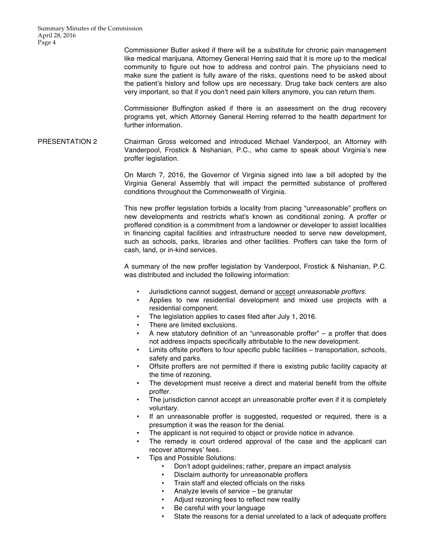Commissioner Butler asked if there will be a substitute for chronic pain management like medical marijuana. Attorney General Herring said that it is more up to the medical community to figure out how to address and control pain. The physicians need to make sure the patient is fully aware of the risks, questions need to be asked about the patient's history and follow ups are necessary. Drug take back centers are also very important, so that if you don't need pain killers anymore, you can return them.

Commissioner Buffington asked if there is an assessment on the drug recovery programs yet, which Attorney General Herring referred to the health department for further information.

PRESENTATION 2 Chairman Gross welcomed and introduced Michael Vanderpool, an Attorney with Vanderpool, Frostick & Nishanian, P.C., who came to speak about Virginia's new proffer legislation.

> On March 7, 2016, the Governor of Virginia signed into law a bill adopted by the Virginia General Assembly that will impact the permitted substance of proffered conditions throughout the Commonwealth of Virginia.

> This new proffer legislation forbids a locality from placing "unreasonable" proffers on new developments and restricts what's known as conditional zoning. A proffer or proffered condition is a commitment from a landowner or developer to assist localities in financing capital facilities and infrastructure needed to serve new development, such as schools, parks, libraries and other facilities. Proffers can take the form of cash, land, or in-kind services.

> A summary of the new proffer legislation by Vanderpool, Frostick & Nishanian, P.C. was distributed and included the following information:

- Jurisdictions cannot suggest, demand or accept *unreasonable proffers*.
- Applies to new residential development and mixed use projects with a residential component.
- The legislation applies to cases filed after July 1, 2016.
- There are limited exclusions.
- A new statutory definition of an "unreasonable proffer"  $-$  a proffer that does not address impacts specifically attributable to the new development.
- Limits offsite proffers to four specific public facilities transportation, schools, safety and parks.
- Offsite proffers are not permitted if there is existing public facility capacity at the time of rezoning.
- The development must receive a direct and material benefit from the offsite proffer.
- The jurisdiction cannot accept an unreasonable proffer even if it is completely voluntary.
- If an unreasonable proffer is suggested, requested or required, there is a presumption it was the reason for the denial.
- The applicant is not required to object or provide notice in advance.
- The remedy is court ordered approval of the case and the applicant can recover attorneys' fees.
- Tips and Possible Solutions:
	- Don't adopt guidelines; rather, prepare an impact analysis
	- Disclaim authority for unreasonable proffers
	- Train staff and elected officials on the risks
	- Analyze levels of service be granular
	- Adjust rezoning fees to reflect new reality
	- Be careful with your language
	- State the reasons for a denial unrelated to a lack of adequate proffers